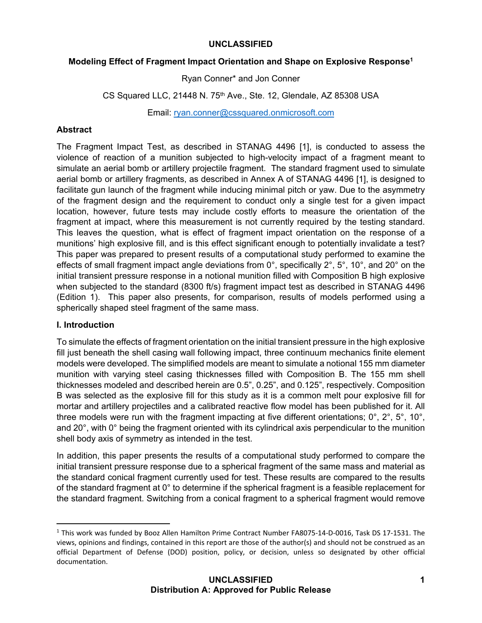# **Modeling Effect of Fragment Impact Orientation and Shape on Explosive Response1**

Ryan Conner\* and Jon Conner

CS Squared LLC, 21448 N. 75<sup>th</sup> Ave., Ste. 12, Glendale, AZ 85308 USA

Email: ryan.conner@cssquared.onmicrosoft.com

# **Abstract**

The Fragment Impact Test, as described in STANAG 4496 [1], is conducted to assess the violence of reaction of a munition subjected to high-velocity impact of a fragment meant to simulate an aerial bomb or artillery projectile fragment. The standard fragment used to simulate aerial bomb or artillery fragments, as described in Annex A of STANAG 4496 [1], is designed to facilitate gun launch of the fragment while inducing minimal pitch or yaw. Due to the asymmetry of the fragment design and the requirement to conduct only a single test for a given impact location, however, future tests may include costly efforts to measure the orientation of the fragment at impact, where this measurement is not currently required by the testing standard. This leaves the question, what is effect of fragment impact orientation on the response of a munitions' high explosive fill, and is this effect significant enough to potentially invalidate a test? This paper was prepared to present results of a computational study performed to examine the effects of small fragment impact angle deviations from 0°, specifically 2°, 5°, 10°, and 20° on the initial transient pressure response in a notional munition filled with Composition B high explosive when subjected to the standard (8300 ft/s) fragment impact test as described in STANAG 4496 (Edition 1). This paper also presents, for comparison, results of models performed using a spherically shaped steel fragment of the same mass.

# **I. Introduction**

To simulate the effects of fragment orientation on the initial transient pressure in the high explosive fill just beneath the shell casing wall following impact, three continuum mechanics finite element models were developed. The simplified models are meant to simulate a notional 155 mm diameter munition with varying steel casing thicknesses filled with Composition B. The 155 mm shell thicknesses modeled and described herein are 0.5", 0.25", and 0.125", respectively. Composition B was selected as the explosive fill for this study as it is a common melt pour explosive fill for mortar and artillery projectiles and a calibrated reactive flow model has been published for it. All three models were run with the fragment impacting at five different orientations; 0°, 2°, 5°, 10°, and 20°, with 0° being the fragment oriented with its cylindrical axis perpendicular to the munition shell body axis of symmetry as intended in the test.

In addition, this paper presents the results of a computational study performed to compare the initial transient pressure response due to a spherical fragment of the same mass and material as the standard conical fragment currently used for test. These results are compared to the results of the standard fragment at 0° to determine if the spherical fragment is a feasible replacement for the standard fragment. Switching from a conical fragment to a spherical fragment would remove

<sup>1</sup> This work was funded by Booz Allen Hamilton Prime Contract Number FA8075‐14‐D‐0016, Task DS 17‐1531. The views, opinions and findings, contained in this report are those of the author(s) and should not be construed as an official Department of Defense (DOD) position, policy, or decision, unless so designated by other official documentation.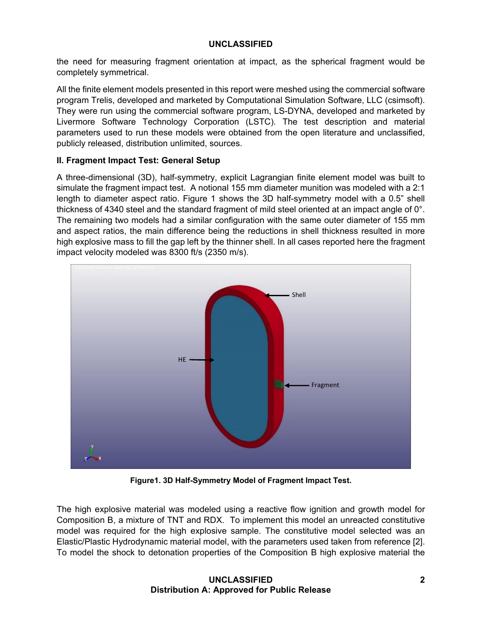the need for measuring fragment orientation at impact, as the spherical fragment would be completely symmetrical.

All the finite element models presented in this report were meshed using the commercial software program Trelis, developed and marketed by Computational Simulation Software, LLC (csimsoft). They were run using the commercial software program, LS-DYNA, developed and marketed by Livermore Software Technology Corporation (LSTC). The test description and material parameters used to run these models were obtained from the open literature and unclassified, publicly released, distribution unlimited, sources.

# **II. Fragment Impact Test: General Setup**

A three-dimensional (3D), half-symmetry, explicit Lagrangian finite element model was built to simulate the fragment impact test. A notional 155 mm diameter munition was modeled with a 2:1 length to diameter aspect ratio. Figure 1 shows the 3D half-symmetry model with a 0.5" shell thickness of 4340 steel and the standard fragment of mild steel oriented at an impact angle of 0°. The remaining two models had a similar configuration with the same outer diameter of 155 mm and aspect ratios, the main difference being the reductions in shell thickness resulted in more high explosive mass to fill the gap left by the thinner shell. In all cases reported here the fragment impact velocity modeled was 8300 ft/s (2350 m/s).



**Figure1. 3D Half-Symmetry Model of Fragment Impact Test.**

The high explosive material was modeled using a reactive flow ignition and growth model for Composition B, a mixture of TNT and RDX. To implement this model an unreacted constitutive model was required for the high explosive sample. The constitutive model selected was an Elastic/Plastic Hydrodynamic material model, with the parameters used taken from reference [2]. To model the shock to detonation properties of the Composition B high explosive material the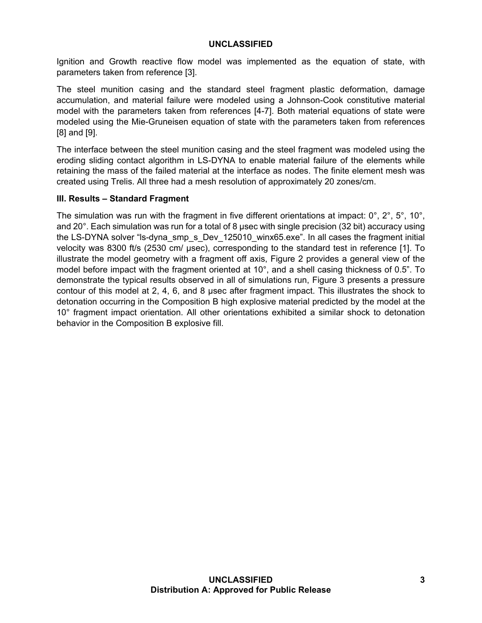Ignition and Growth reactive flow model was implemented as the equation of state, with parameters taken from reference [3].

The steel munition casing and the standard steel fragment plastic deformation, damage accumulation, and material failure were modeled using a Johnson-Cook constitutive material model with the parameters taken from references [4-7]. Both material equations of state were modeled using the Mie-Gruneisen equation of state with the parameters taken from references [8] and [9].

The interface between the steel munition casing and the steel fragment was modeled using the eroding sliding contact algorithm in LS-DYNA to enable material failure of the elements while retaining the mass of the failed material at the interface as nodes. The finite element mesh was created using Trelis. All three had a mesh resolution of approximately 20 zones/cm.

### **III. Results – Standard Fragment**

The simulation was run with the fragment in five different orientations at impact:  $0^\circ$ ,  $2^\circ$ ,  $5^\circ$ ,  $10^\circ$ , and 20°. Each simulation was run for a total of 8 usec with single precision (32 bit) accuracy using the LS-DYNA solver "Is-dyna\_smp\_s\_Dev\_125010\_winx65.exe". In all cases the fragment initial velocity was 8300 ft/s (2530 cm/ µsec), corresponding to the standard test in reference [1]. To illustrate the model geometry with a fragment off axis, Figure 2 provides a general view of the model before impact with the fragment oriented at 10°, and a shell casing thickness of 0.5". To demonstrate the typical results observed in all of simulations run, Figure 3 presents a pressure contour of this model at 2, 4, 6, and 8 µsec after fragment impact. This illustrates the shock to detonation occurring in the Composition B high explosive material predicted by the model at the 10° fragment impact orientation. All other orientations exhibited a similar shock to detonation behavior in the Composition B explosive fill.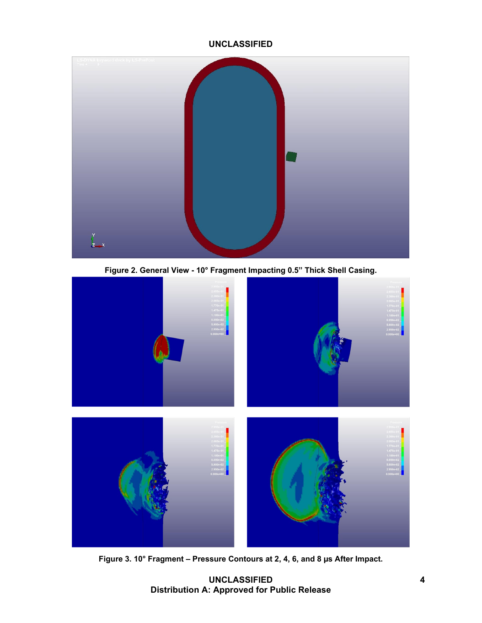

**Figure 2. General View - 10° Fragment Impacting 0.5" Thick Shell Casing.** 



**Figure 3. 10° Fragment – Pressure Contours at 2, 4, 6, and 8 µs After Impact.** 

 **UNCLASSIFIED 4 Distribution A: Approved for Public Release**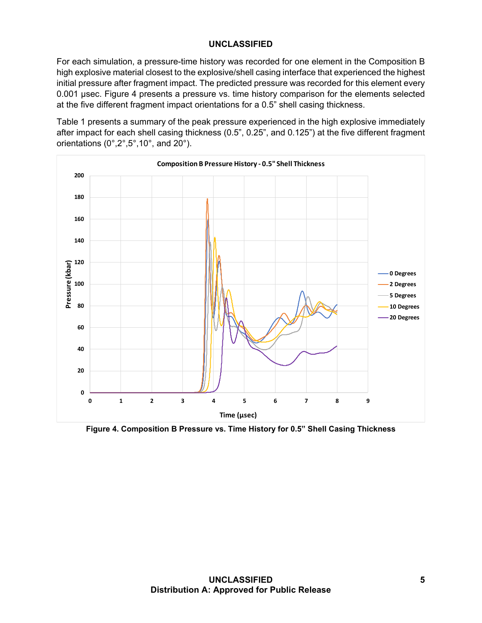For each simulation, a pressure-time history was recorded for one element in the Composition B high explosive material closest to the explosive/shell casing interface that experienced the highest initial pressure after fragment impact. The predicted pressure was recorded for this element every 0.001 µsec. Figure 4 presents a pressure vs. time history comparison for the elements selected at the five different fragment impact orientations for a 0.5" shell casing thickness.

Table 1 presents a summary of the peak pressure experienced in the high explosive immediately after impact for each shell casing thickness (0.5", 0.25", and 0.125") at the five different fragment orientations (0°,2°,5°,10°, and 20°).



**Figure 4. Composition B Pressure vs. Time History for 0.5" Shell Casing Thickness**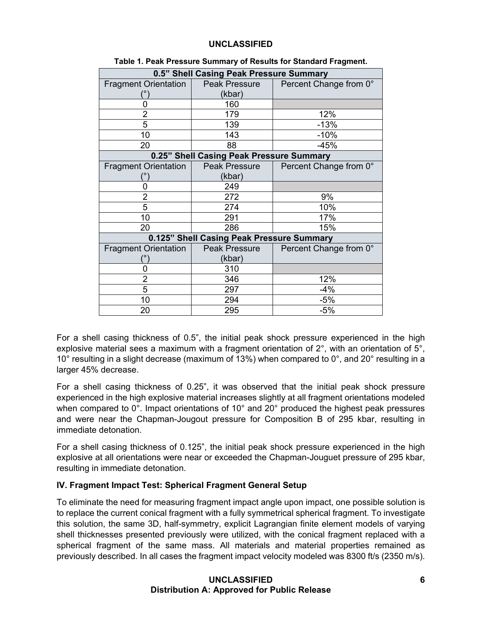| 0.5" Shell Casing Peak Pressure Summary   |               |                        |  |  |
|-------------------------------------------|---------------|------------------------|--|--|
| <b>Fragment Orientation</b>               | Peak Pressure | Percent Change from 0° |  |  |
|                                           | (kbar)        |                        |  |  |
| 0                                         | 160           |                        |  |  |
| 2                                         | 179           | 12%                    |  |  |
| 5                                         | 139           | $-13%$                 |  |  |
| 10                                        | 143           | $-10%$                 |  |  |
| 20                                        | 88            | $-45%$                 |  |  |
| 0.25" Shell Casing Peak Pressure Summary  |               |                        |  |  |
| <b>Fragment Orientation</b>               | Peak Pressure | Percent Change from 0° |  |  |
|                                           | (kbar)        |                        |  |  |
|                                           | 249           |                        |  |  |
| $\overline{2}$                            | 272           | 9%                     |  |  |
| 5                                         | 274           | 10%                    |  |  |
| 10                                        | 291           | 17%                    |  |  |
| 20                                        | 286           | 15%                    |  |  |
| 0.125" Shell Casing Peak Pressure Summary |               |                        |  |  |
| <b>Fragment Orientation</b>               | Peak Pressure | Percent Change from 0° |  |  |
|                                           | (kbar)        |                        |  |  |
| 0                                         | 310           |                        |  |  |
| $\overline{2}$                            | 346           | 12%                    |  |  |
| 5                                         | 297           | $-4%$                  |  |  |
| 10                                        | 294           | $-5%$                  |  |  |
| 20                                        | 295           | $-5%$                  |  |  |

For a shell casing thickness of 0.5", the initial peak shock pressure experienced in the high explosive material sees a maximum with a fragment orientation of 2°, with an orientation of 5°, 10° resulting in a slight decrease (maximum of 13%) when compared to 0°, and 20° resulting in a larger 45% decrease.

For a shell casing thickness of 0.25", it was observed that the initial peak shock pressure experienced in the high explosive material increases slightly at all fragment orientations modeled when compared to 0°. Impact orientations of 10° and 20° produced the highest peak pressures and were near the Chapman-Jougout pressure for Composition B of 295 kbar, resulting in immediate detonation.

For a shell casing thickness of 0.125", the initial peak shock pressure experienced in the high explosive at all orientations were near or exceeded the Chapman-Jouguet pressure of 295 kbar, resulting in immediate detonation.

# **IV. Fragment Impact Test: Spherical Fragment General Setup**

To eliminate the need for measuring fragment impact angle upon impact, one possible solution is to replace the current conical fragment with a fully symmetrical spherical fragment. To investigate this solution, the same 3D, half-symmetry, explicit Lagrangian finite element models of varying shell thicknesses presented previously were utilized, with the conical fragment replaced with a spherical fragment of the same mass. All materials and material properties remained as previously described. In all cases the fragment impact velocity modeled was 8300 ft/s (2350 m/s).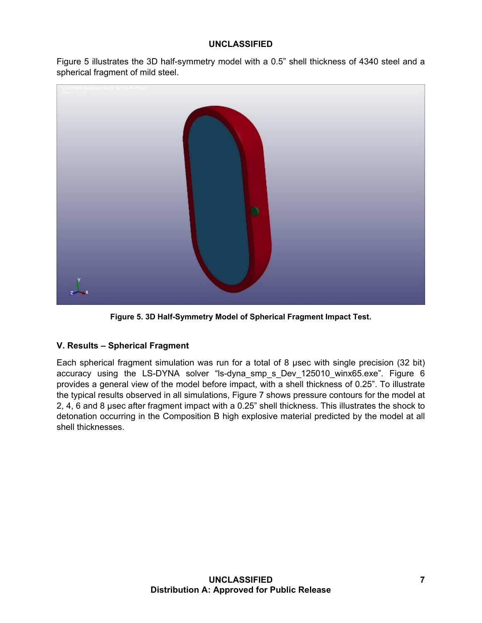Figure 5 illustrates the 3D half-symmetry model with a 0.5" shell thickness of 4340 steel and a spherical fragment of mild steel.



**Figure 5. 3D Half-Symmetry Model of Spherical Fragment Impact Test.** 

# **V. Results – Spherical Fragment**

Each spherical fragment simulation was run for a total of 8 µsec with single precision (32 bit) accuracy using the LS-DYNA solver "ls-dyna\_smp\_s\_Dev\_125010\_winx65.exe". Figure 6 provides a general view of the model before impact, with a shell thickness of 0.25". To illustrate the typical results observed in all simulations, Figure 7 shows pressure contours for the model at 2, 4, 6 and 8 µsec after fragment impact with a 0.25" shell thickness. This illustrates the shock to detonation occurring in the Composition B high explosive material predicted by the model at all shell thicknesses.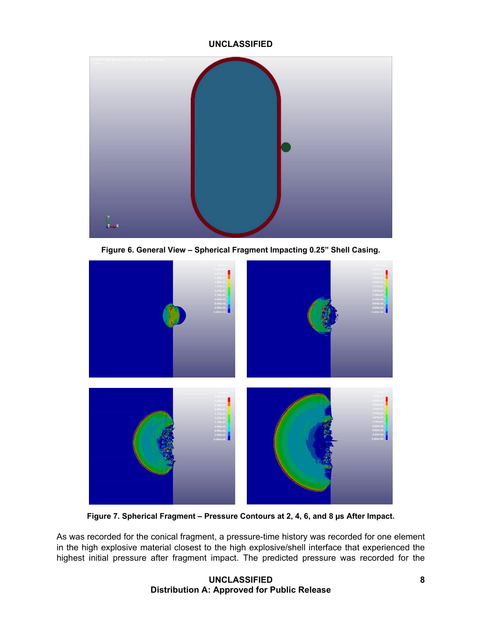

**Figure 6. General View – Spherical Fragment Impacting 0.25" Shell Casing.** 



**Figure 7. Spherical Fragment – Pressure Contours at 2, 4, 6, and 8 µs After Impact.** 

As was recorded for the conical fragment, a pressure-time history was recorded for one element in the high explosive material closest to the high explosive/shell interface that experienced the highest initial pressure after fragment impact. The predicted pressure was recorded for the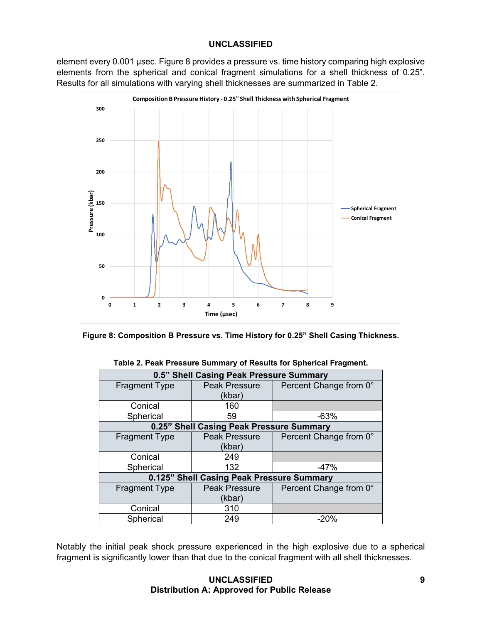element every 0.001 µsec. Figure 8 provides a pressure vs. time history comparing high explosive elements from the spherical and conical fragment simulations for a shell thickness of 0.25". Results for all simulations with varying shell thicknesses are summarized in Table 2.



| Figure 8: Composition B Pressure vs. Time History for 0.25" Shell Casing Thickness. |  |  |
|-------------------------------------------------------------------------------------|--|--|
|-------------------------------------------------------------------------------------|--|--|

| 0.5" Shell Casing Peak Pressure Summary   |                      |                        |  |  |
|-------------------------------------------|----------------------|------------------------|--|--|
| <b>Fragment Type</b>                      | <b>Peak Pressure</b> | Percent Change from 0° |  |  |
|                                           | (kbar)               |                        |  |  |
| Conical                                   | 160                  |                        |  |  |
| Spherical                                 | 59                   | $-63%$                 |  |  |
| 0.25" Shell Casing Peak Pressure Summary  |                      |                        |  |  |
| <b>Fragment Type</b>                      | <b>Peak Pressure</b> | Percent Change from 0° |  |  |
|                                           | (kbar)               |                        |  |  |
| Conical                                   | 249                  |                        |  |  |
| Spherical                                 | 132                  | $-47%$                 |  |  |
| 0.125" Shell Casing Peak Pressure Summary |                      |                        |  |  |
| <b>Fragment Type</b>                      | <b>Peak Pressure</b> | Percent Change from 0° |  |  |
|                                           | (kbar)               |                        |  |  |
| Conical                                   | 310                  |                        |  |  |
| Spherical                                 | 249                  | $-20%$                 |  |  |

#### **Table 2. Peak Pressure Summary of Results for Spherical Fragment.**

Notably the initial peak shock pressure experienced in the high explosive due to a spherical fragment is significantly lower than that due to the conical fragment with all shell thicknesses.